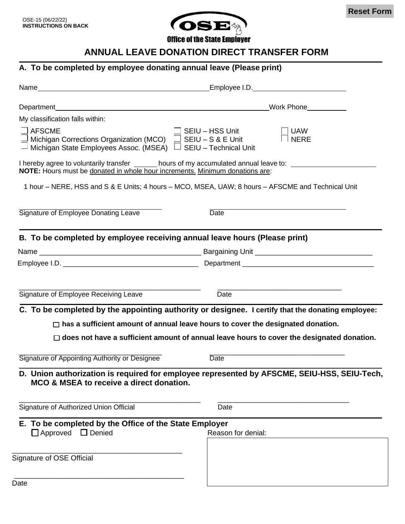

**Office of the State Employer** 

## **ANNUAL LEAVE DONATION DIRECT TRANSFER FORM**

## **A. To be completed by employee donating annual leave (Please print)**

|                                                                                                                                                                    | Work Phone North Contract Contract Contract Contract Contract Contract Contract Contract Contract Contract Contract Contract Contract Contract Contract Contract Contract Contract Contract Contract Contract Contract Contrac |
|--------------------------------------------------------------------------------------------------------------------------------------------------------------------|--------------------------------------------------------------------------------------------------------------------------------------------------------------------------------------------------------------------------------|
| My classification falls within:                                                                                                                                    |                                                                                                                                                                                                                                |
| <b>AFSCME</b><br>$\perp$ Michigan Corrections Organization (MCO) $\Box$ SEIU – S & E Unit<br>— Michigan State Employees Assoc. (MSEA) $\Box$ SEIU – Technical Unit | SEIU - HSS Unit<br><b>UAW</b><br><b>NERE</b>                                                                                                                                                                                   |
| NOTE: Hours must be donated in whole hour increments. Minimum donations are:                                                                                       | I hereby agree to voluntarily transfer _______ hours of my accumulated annual leave to:                                                                                                                                        |
|                                                                                                                                                                    | 1 hour – NERE, HSS and S & E Units; 4 hours – MCO, MSEA, UAW; 8 hours – AFSCME and Technical Unit                                                                                                                              |
| Signature of Employee Donating Leave                                                                                                                               | <b>Date</b>                                                                                                                                                                                                                    |
| B. To be completed by employee receiving annual leave hours (Please print)                                                                                         |                                                                                                                                                                                                                                |
|                                                                                                                                                                    |                                                                                                                                                                                                                                |
|                                                                                                                                                                    |                                                                                                                                                                                                                                |
|                                                                                                                                                                    |                                                                                                                                                                                                                                |
| Signature of Employee Receiving Leave                                                                                                                              | Date                                                                                                                                                                                                                           |
|                                                                                                                                                                    | C. To be completed by the appointing authority or designee. I certify that the donating employee:                                                                                                                              |
|                                                                                                                                                                    | $\Box$ has a sufficient amount of annual leave hours to cover the designated donation.                                                                                                                                         |
|                                                                                                                                                                    | $\Box$ does not have a sufficient amount of annual leave hours to cover the designated donation.                                                                                                                               |
| Signature of Appointing Authority or Designee                                                                                                                      | Date                                                                                                                                                                                                                           |
| MCO & MSEA to receive a direct donation.                                                                                                                           | D. Union authorization is required for employee represented by AFSCME, SEIU-HSS, SEIU-Tech,                                                                                                                                    |
| Signature of Authorized Union Official                                                                                                                             | Date                                                                                                                                                                                                                           |
| E. To be completed by the Office of the State Employer<br>$\Box$ Denied<br>$\Box$ Approved                                                                         | Reason for denial:                                                                                                                                                                                                             |
| Signature of OSE Official                                                                                                                                          |                                                                                                                                                                                                                                |
| Date                                                                                                                                                               |                                                                                                                                                                                                                                |